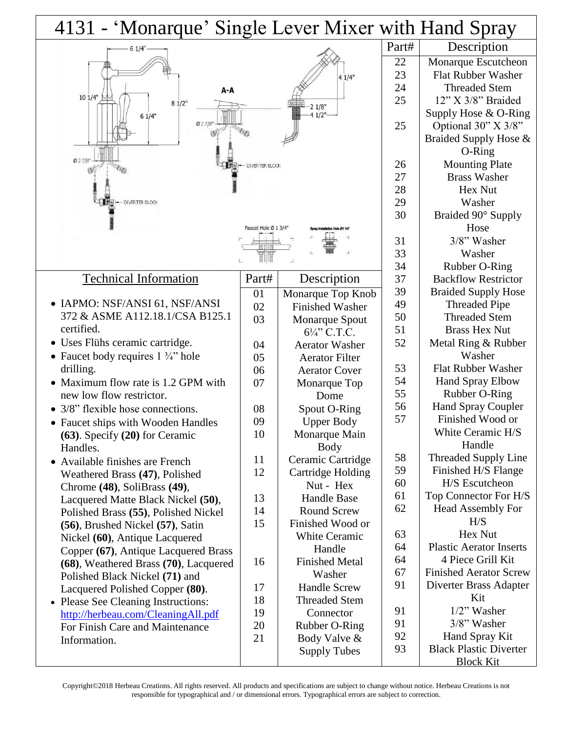| 4131 - 'Monarque' Single Lever Mixer with Hand Spray      |                      |                        |          |                                                 |
|-----------------------------------------------------------|----------------------|------------------------|----------|-------------------------------------------------|
| 61/4"                                                     |                      |                        | Part#    | Description                                     |
|                                                           |                      |                        | 22       | Monarque Escutcheon                             |
|                                                           |                      | 41/4"                  | 23       | <b>Flat Rubber Washer</b>                       |
| A-A                                                       |                      |                        | 24       | <b>Threaded Stem</b>                            |
| 101/4"<br>$81/2$ "                                        |                      |                        | 25       | $12$ " X $3/8$ " Braided                        |
| 61/4"                                                     |                      | 21/8"<br>4 1/2"-       |          | Supply Hose $& O-Ring$                          |
| 027/8"                                                    |                      |                        | 25       | Optional 30" X 3/8"                             |
|                                                           |                      |                        |          | Braided Supply Hose &                           |
|                                                           |                      |                        |          | O-Ring                                          |
| 027/8<br><b>DIVERTER BLOCK</b>                            |                      |                        | 26       | <b>Mounting Plate</b>                           |
|                                                           |                      |                        | 27       | <b>Brass Washer</b>                             |
|                                                           |                      |                        | 28       | Hex Nut                                         |
| DIVERTER BLOCK                                            |                      |                        | 29       | Washer                                          |
|                                                           |                      |                        | 30       | Braided 90° Supply                              |
|                                                           | Faucet Hole Ø 1 3/4" |                        |          | Hose                                            |
|                                                           |                      |                        | 31       | 3/8" Washer                                     |
|                                                           |                      |                        | 33       | Washer                                          |
|                                                           |                      |                        | 34       | Rubber O-Ring                                   |
| <b>Technical Information</b>                              | Part#                | Description            | 37       | <b>Backflow Restrictor</b>                      |
|                                                           |                      |                        | 39       | <b>Braided Supply Hose</b>                      |
| • IAPMO: NSF/ANSI 61, NSF/ANSI                            | 01                   | Monarque Top Knob      | 49       | <b>Threaded Pipe</b>                            |
| 372 & ASME A112.18.1/CSA B125.1                           | 02                   | <b>Finished Washer</b> | 50       | <b>Threaded Stem</b>                            |
| certified.                                                | 03                   | <b>Monarque Spout</b>  | 51       | <b>Brass Hex Nut</b>                            |
| • Uses Flühs ceramic cartridge.                           |                      | $6\frac{1}{4}$ C.T.C.  | 52       | Metal Ring & Rubber                             |
|                                                           | 04                   | <b>Aerator Washer</b>  |          | Washer                                          |
| • Faucet body requires $1\frac{3}{4}$ " hole<br>drilling. | 05                   | <b>Aerator Filter</b>  | 53       | <b>Flat Rubber Washer</b>                       |
|                                                           | 06                   | <b>Aerator Cover</b>   | 54       | <b>Hand Spray Elbow</b>                         |
| Maximum flow rate is 1.2 GPM with                         | 07                   | Monarque Top           | 55       | Rubber O-Ring                                   |
| new low flow restrictor.                                  |                      | Dome                   | 56       | <b>Hand Spray Coupler</b>                       |
| 3/8" flexible hose connections.                           | 08                   | Spout O-Ring           | 57       | Finished Wood or                                |
| • Faucet ships with Wooden Handles                        | 09                   | <b>Upper Body</b>      |          | White Ceramic H/S                               |
| (63). Specify (20) for Ceramic                            | 10                   | Monarque Main          |          | Handle                                          |
| Handles.                                                  |                      | <b>Body</b>            | 58       | Threaded Supply Line                            |
| • Available finishes are French                           | 11                   | Ceramic Cartridge      | 59       | Finished H/S Flange                             |
| Weathered Brass (47), Polished                            | 12                   | Cartridge Holding      | 60       | H/S Escutcheon                                  |
| Chrome (48), SoliBrass (49),                              |                      | Nut - Hex              | 61       | Top Connector For H/S                           |
| Lacquered Matte Black Nickel (50),                        | 13                   | <b>Handle Base</b>     | 62       | <b>Head Assembly For</b>                        |
| Polished Brass (55), Polished Nickel                      | 14                   | <b>Round Screw</b>     |          | H/S                                             |
| (56), Brushed Nickel (57), Satin                          | 15                   | Finished Wood or       | 63       | Hex Nut                                         |
| Nickel (60), Antique Lacquered                            |                      | <b>White Ceramic</b>   |          | <b>Plastic Aerator Inserts</b>                  |
| Copper (67), Antique Lacquered Brass                      |                      | Handle                 | 64       |                                                 |
| (68), Weathered Brass (70), Lacquered                     | 16                   | <b>Finished Metal</b>  | 64<br>67 | 4 Piece Grill Kit                               |
| Polished Black Nickel (71) and                            |                      | Washer                 |          | <b>Finished Aerator Screw</b>                   |
| Lacquered Polished Copper (80).                           | 17                   | <b>Handle Screw</b>    | 91       | Diverter Brass Adapter                          |
| • Please See Cleaning Instructions:                       | 18                   | <b>Threaded Stem</b>   |          | Kit                                             |
| http://herbeau.com/CleaningAll.pdf                        | 19                   | Connector              | 91       | $1/2$ " Washer                                  |
| For Finish Care and Maintenance                           | 20                   | Rubber O-Ring          | 91<br>92 | 3/8" Washer                                     |
| Information.                                              | 21                   | Body Valve &           | 93       | Hand Spray Kit<br><b>Black Plastic Diverter</b> |
|                                                           |                      | <b>Supply Tubes</b>    |          | <b>Block Kit</b>                                |

Copyright©2018 Herbeau Creations. All rights reserved. All products and specifications are subject to change without notice. Herbeau Creations is not responsible for typographical and / or dimensional errors. Typographical errors are subject to correction.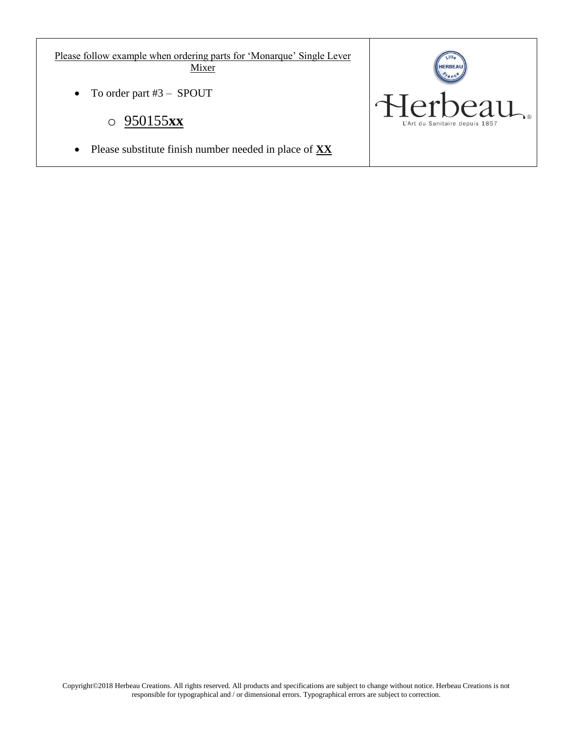Please follow example when ordering parts for 'Monarque' Single Lever Mixer

• To order part #3 – SPOUT

## o 950155**xx**

Please substitute finish number needed in place of **XX**

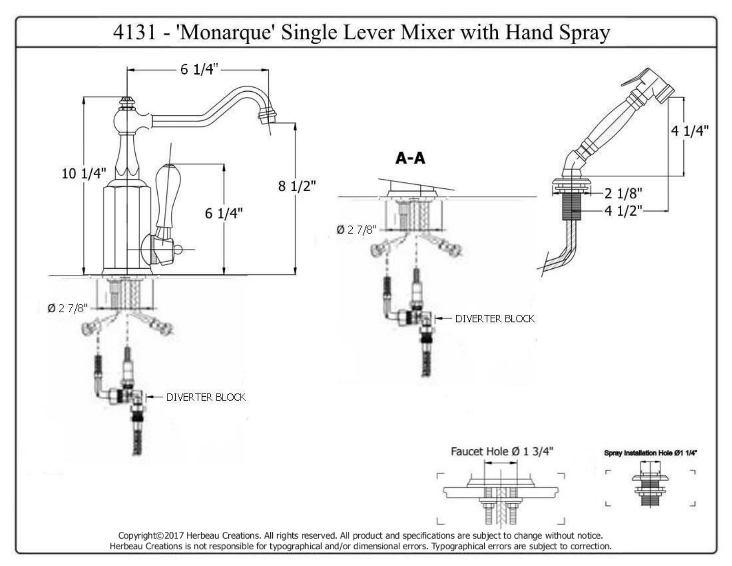